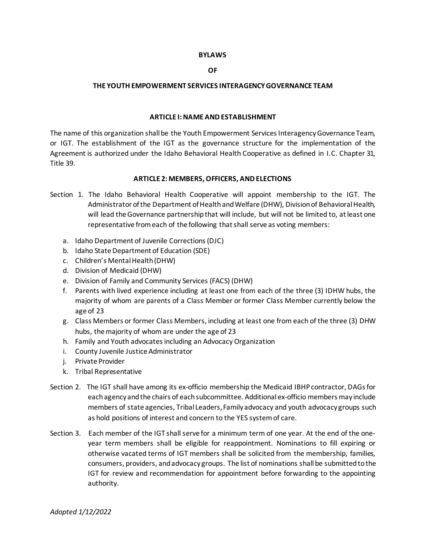### **BYLAWS**

### **OF**

### **THE YOUTH EMPOWERMENT SERVICES INTERAGENCY GOVERNANCE TEAM**

#### **ARTICLE I: NAME AND ESTABLISHMENT**

The name of this organization shall be the Youth Empowerment Services Interagency Governance Team, or IGT. The establishment of the IGT as the governance structure for the implementation of the Agreement is authorized under the Idaho Behavioral Health Cooperative as defined in I.C. Chapter 31, Title 39.

#### **ARTICLE 2: MEMBERS, OFFICERS, AND ELECTIONS**

- Section 1. The Idaho Behavioral Health Cooperative will appoint membership to the IGT. The Administrator of the Department of Health and Welfare (DHW), Divisionof Behavioral Health, will lead the Governance partnership that will include, but will not be limited to, at least one representative from each of the following that shall serve as voting members:
	- a. Idaho Department of Juvenile Corrections (DJC)
	- b. Idaho State Department of Education (SDE)
	- c. Children's Mental Health (DHW)
	- d. Division of Medicaid (DHW)
	- e. Division of Family and Community Services (FACS) (DHW)
	- f. Parents with lived experience including at least one from each of the three (3) IDHW hubs, the majority of whom are parents of a Class Member or former Class Member currently below the age of 23
	- g. Class Members or former Class Members, including at least one from each of the three (3) DHW hubs, the majority of whom are under the age of 23
	- h. Family and Youth advocates including an Advocacy Organization
	- i. County Juvenile Justice Administrator
	- j. Private Provider
	- k. Tribal Representative
- Section 2. The IGT shall have among its ex-officio membership the Medicaid IBHP contractor, DAGs for each agency and the chairs of each subcommittee. Additional ex-officio members may include members of state agencies, Tribal Leaders, Family advocacy and youth advocacy groups such as hold positions of interest and concern to the YES system of care.
- Section 3. Each member of the IGT shall serve for a minimum term of one year. At the end of the oneyear term members shall be eligible for reappointment. Nominations to fill expiring or otherwise vacated terms of IGT members shall be solicited from the membership, families, consumers, providers, and advocacy groups. The list of nominations shall be submitted to the IGT for review and recommendation for appointment before forwarding to the appointing authority.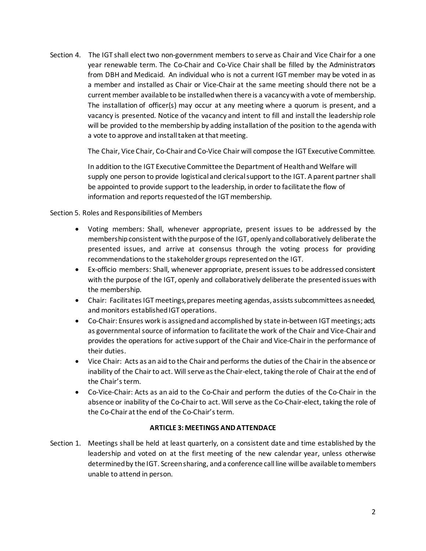Section 4. The IGT shall elect two non-government members to serve as Chair and Vice Chair for a one year renewable term. The Co-Chair and Co-Vice Chair shall be filled by the Administrators from DBH and Medicaid. An individual who is not a current IGT member may be voted in as a member and installed as Chair or Vice-Chair at the same meeting should there not be a current member available to be installed when there is a vacancy with a vote of membership. The installation of officer(s) may occur at any meeting where a quorum is present, and a vacancy is presented. Notice of the vacancy and intent to fill and install the leadership role will be provided to the membership by adding installation of the position to the agenda with a vote to approve and install taken at that meeting.

The Chair, Vice Chair, Co-Chair and Co-Vice Chair will compose the IGT Executive Committee.

In addition to the IGT Executive Committee the Department of Health and Welfare will supply one person to provide logistical and clerical support to the IGT. A parent partner shall be appointed to provide support to the leadership, in order to facilitate the flow of information and reports requested of the IGT membership.

Section 5. Roles and Responsibilities of Members

- Voting members: Shall, whenever appropriate, present issues to be addressed by the membership consistent with the purpose of the IGT, openly and collaboratively deliberate the presented issues, and arrive at consensus through the voting process for providing recommendations to the stakeholder groups represented on the IGT.
- Ex-officio members: Shall, whenever appropriate, present issues to be addressed consistent with the purpose of the IGT, openly and collaboratively deliberate the presented issues with the membership.
- Chair: Facilitates IGT meetings, prepares meeting agendas, assists subcommittees as needed, and monitors established IGT operations.
- Co-Chair: Ensures work is assigned and accomplished by state in-between IGT meetings; acts as governmental source of information to facilitate the work of the Chair and Vice-Chair and provides the operations for active support of the Chair and Vice-Chair in the performance of their duties.
- Vice Chair: Acts as an aid to the Chair and performs the duties of the Chair in the absence or inability of the Chair to act. Will serve as the Chair-elect, taking the role of Chair at the end of the Chair's term.
- Co-Vice-Chair: Acts as an aid to the Co-Chair and perform the duties of the Co-Chair in the absence or inability of the Co-Chair to act. Will serve as the Co-Chair-elect, taking the role of the Co-Chair at the end of the Co-Chair's term.

## **ARTICLE 3: MEETINGS AND ATTENDACE**

Section 1. Meetings shall be held at least quarterly, on a consistent date and time established by the leadership and voted on at the first meeting of the new calendar year, unless otherwise determined by the IGT. Screen sharing, and a conference call line will be available to members unable to attend in person.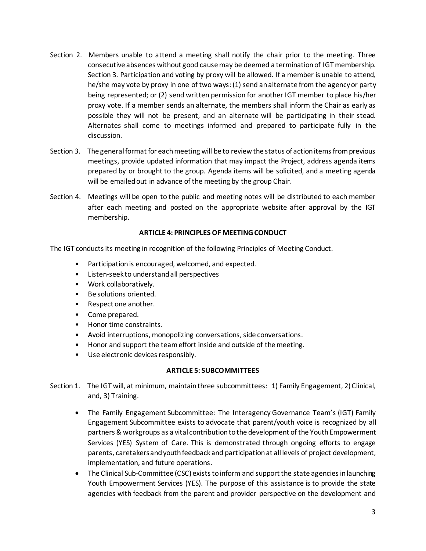- Section 2. Members unable to attend a meeting shall notify the chair prior to the meeting. Three consecutive absences without good cause may be deemed a termination of IGT membership. Section 3. Participation and voting by proxy will be allowed. If a member is unable to attend, he/she may vote by proxy in one of two ways: (1) send an alternate from the agency or party being represented; or (2) send written permission for another IGT member to place his/her proxy vote. If a member sends an alternate, the members shall inform the Chair as early as possible they will not be present, and an alternate will be participating in their stead. Alternates shall come to meetings informed and prepared to participate fully in the discussion.
- Section 3. The general format for each meeting will be to review the status of action items from previous meetings, provide updated information that may impact the Project, address agenda items prepared by or brought to the group. Agenda items will be solicited, and a meeting agenda will be emailed out in advance of the meeting by the group Chair.
- Section 4. Meetings will be open to the public and meeting notes will be distributed to each member after each meeting and posted on the appropriate website after approval by the IGT membership.

## **ARTICLE 4: PRINCIPLES OF MEETING CONDUCT**

The IGT conducts its meeting in recognition of the following Principles of Meeting Conduct.

- Participation is encouraged, welcomed, and expected.
- Listen-seek to understand all perspectives
- Work collaboratively.
- Be solutions oriented.
- Respect one another.
- Come prepared.
- Honor time constraints.
- Avoid interruptions, monopolizing conversations, side conversations.
- Honor and support the team effort inside and outside of the meeting.
- Use electronic devices responsibly.

## **ARTICLE 5: SUBCOMMITTEES**

- Section 1. The IGT will, at minimum, maintain three subcommittees: 1) Family Engagement, 2) Clinical, and, 3) Training.
	- The Family Engagement Subcommittee: The Interagency Governance Team's (IGT) Family Engagement Subcommittee exists to advocate that parent/youth voice is recognized by all partners & workgroups as a vital contribution to the development of the Youth Empowerment Services (YES) System of Care. This is demonstrated through ongoing efforts to engage parents, caretakers and youth feedback and participation at all levels of project development, implementation, and future operations.
	- The Clinical Sub-Committee (CSC) exists to inform and support the state agencies in launching Youth Empowerment Services (YES). The purpose of this assistance is to provide the state agencies with feedback from the parent and provider perspective on the development and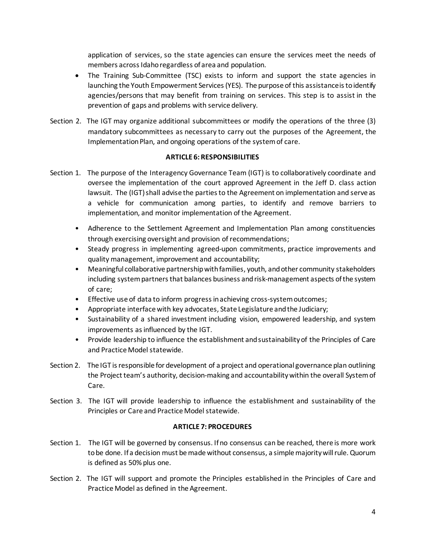application of services, so the state agencies can ensure the services meet the needs of members across Idaho regardless of area and population.

- The Training Sub-Committee (TSC) exists to inform and support the state agencies in launching the Youth Empowerment Services (YES). The purpose of this assistance is to identify agencies/persons that may benefit from training on services. This step is to assist in the prevention of gaps and problems with service delivery.
- Section 2. The IGT may organize additional subcommittees or modify the operations of the three (3) mandatory subcommittees as necessary to carry out the purposes of the Agreement, the Implementation Plan, and ongoing operations of the system of care.

# **ARTICLE 6: RESPONSIBILITIES**

- Section 1. The purpose of the Interagency Governance Team (IGT) is to collaboratively coordinate and oversee the implementation of the court approved Agreement in the Jeff D. class action lawsuit. The (IGT) shall advise the parties to the Agreement on implementation and serve as a vehicle for communication among parties, to identify and remove barriers to implementation, and monitor implementation of the Agreement.
	- Adherence to the Settlement Agreement and Implementation Plan among constituencies through exercising oversight and provision of recommendations;
	- Steady progress in implementing agreed-upon commitments, practice improvements and quality management, improvement and accountability;
	- Meaningful collaborative partnership with families, youth, and other community stakeholders including system partners that balances business and risk-management aspects of the system of care;
	- Effective use of data to inform progress in achieving cross-system outcomes;
	- Appropriate interface with key advocates, State Legislature and the Judiciary;
	- Sustainability of a shared investment including vision, empowered leadership, and system improvements as influenced by the IGT.
	- Provide leadership to influence the establishment and sustainability of the Principles of Care and Practice Model statewide.
- Section 2. The IGT is responsible for development of a project and operational governance plan outlining the Project team's authority, decision-making and accountability within the overall System of Care.
- Section 3. The IGT will provide leadership to influence the establishment and sustainability of the Principles or Care and Practice Model statewide.

# **ARTICLE 7: PROCEDURES**

- Section 1. The IGT will be governed by consensus. If no consensus can be reached, there is more work to be done. If a decision must be made without consensus, a simple majority will rule. Quorum is defined as 50% plus one.
- Section 2. The IGT will support and promote the Principles established in the Principles of Care and Practice Model as defined in the Agreement.